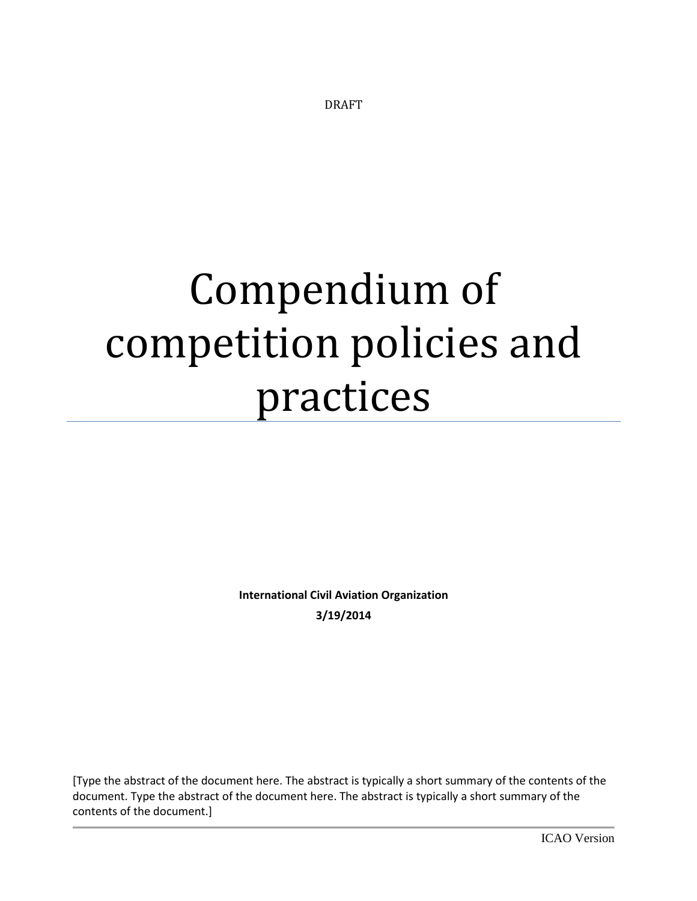DRAFT

# Compendium of competition policies and practices

**International Civil Aviation Organization 3/19/2014**

<span id="page-0-0"></span>[Type the abstract of the document here. The abstract is typically a short summary of the contents of the document. Type the abstract of the document here. The abstract is typically a short summary of the contents of the document.]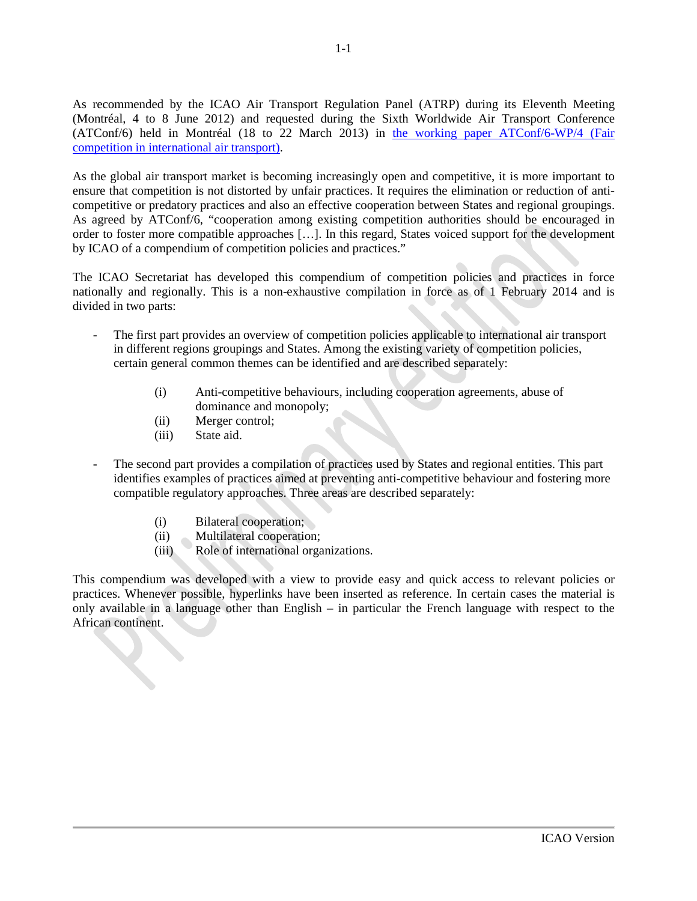As recommended by the ICAO Air Transport Regulation Panel (ATRP) during its Eleventh Meeting (Montréal, 4 to 8 June 2012) and requested during the Sixth Worldwide Air Transport Conference (ATConf/6) held in Montréal (18 to 22 March 2013) in [the working paper ATConf/6-WP/4 \(Fair](http://www.icao.int/Meetings/atconf6/Pages/WorkingPapers.aspx#wp4)  [competition in international air transport\).](http://www.icao.int/Meetings/atconf6/Pages/WorkingPapers.aspx#wp4)

As the global air transport market is becoming increasingly open and competitive, it is more important to ensure that competition is not distorted by unfair practices. It requires the elimination or reduction of anticompetitive or predatory practices and also an effective cooperation between States and regional groupings. As agreed by ATConf/6, "cooperation among existing competition authorities should be encouraged in order to foster more compatible approaches […]. In this regard, States voiced support for the development by ICAO of a compendium of competition policies and practices."

The ICAO Secretariat has developed this compendium of competition policies and practices in force nationally and regionally. This is a non-exhaustive compilation in force as of 1 February 2014 and is divided in two parts:

- The first part provides an overview of competition policies applicable to international air transport in different regions groupings and States. Among the existing variety of competition policies, certain general common themes can be identified and are described separately:
	- (i) Anti-competitive behaviours, including cooperation agreements, abuse of dominance and monopoly;
	- (ii) Merger control;
	- (iii) State aid.
- The second part provides a compilation of practices used by States and regional entities. This part identifies examples of practices aimed at preventing anti-competitive behaviour and fostering more compatible regulatory approaches. Three areas are described separately:
	- (i) Bilateral cooperation;
	- (ii) Multilateral cooperation;
	- (iii) Role of international organizations.

This compendium was developed with a view to provide easy and quick access to relevant policies or practices. Whenever possible, hyperlinks have been inserted as reference. In certain cases the material is only available in a language other than English – in particular the French language with respect to the African continent.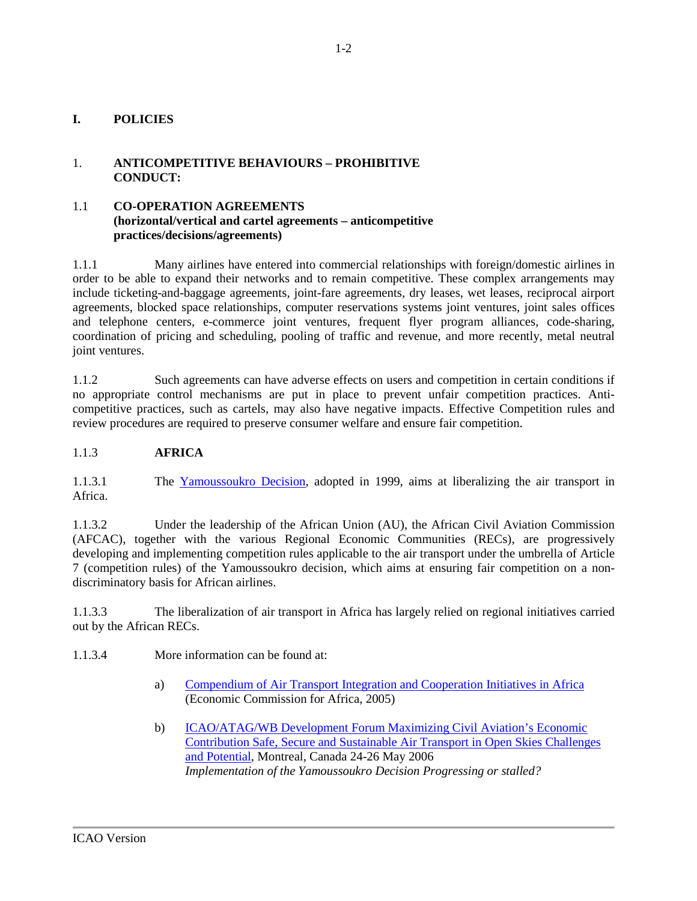# **I. POLICIES**

# 1. **ANTICOMPETITIVE BEHAVIOURS – PROHIBITIVE CONDUCT:**

## 1.1 **CO-OPERATION AGREEMENTS (horizontal/vertical and cartel agreements – anticompetitive practices/decisions/agreements)**

1.1.1 Many airlines have entered into commercial relationships with foreign/domestic airlines in order to be able to expand their networks and to remain competitive. These complex arrangements may include ticketing-and-baggage agreements, joint-fare agreements, dry leases, wet leases, reciprocal airport agreements, blocked space relationships, computer reservations systems joint ventures, joint sales offices and telephone centers, e-commerce joint ventures, frequent flyer program alliances, code-sharing, coordination of pricing and scheduling, pooling of traffic and revenue, and more recently, metal neutral joint ventures.

1.1.2 Such agreements can have adverse effects on users and competition in certain conditions if no appropriate control mechanisms are put in place to prevent unfair competition practices. Anticompetitive practices, such as cartels, may also have negative impacts. Effective Competition rules and review procedures are required to preserve consumer welfare and ensure fair competition.

## 1.1.3 **AFRICA**

1.1.3.1 The [Yamoussoukro Decision,](http://www.afcac.org/en/documents/conferences/July2012/yde.pdf) adopted in 1999, aims at liberalizing the air transport in Africa.

1.1.3.2 Under the leadership of the African Union (AU), the African Civil Aviation Commission (AFCAC), together with the various Regional Economic Communities (RECs), are progressively developing and implementing competition rules applicable to the air transport under the umbrella of Article 7 (competition rules) of the Yamoussoukro decision, which aims at ensuring fair competition on a nondiscriminatory basis for African airlines.

1.1.3.3 The liberalization of air transport in Africa has largely relied on regional initiatives carried out by the African RECs.

1.1.3.4 More information can be found at:

- a) [Compendium of Air Transport Integration and Cooperation Initiatives in Africa](http://www.icao.int/sustainability/Documents/Compendium_FairCompetition/Africa/ECA_Compendium-AirTransportIntegrationCooperationInitiatives_Africa_2005.pdf) (Economic Commission for Africa, 2005)
- b) [ICAO/ATAG/WB Development Forum Maximizing Civil Aviation's Economic](http://www.icao.int/Meetings/wrdss2011/Documents/DevelopmentForum2006/YamousoukroDecision.pdf)  [Contribution Safe, Secure and Sustainable Air Transport in Open Skies Challenges](http://www.icao.int/Meetings/wrdss2011/Documents/DevelopmentForum2006/YamousoukroDecision.pdf)  [and Potential,](http://www.icao.int/Meetings/wrdss2011/Documents/DevelopmentForum2006/YamousoukroDecision.pdf) Montreal, Canada 24-26 May 2006 *Implementation of the Yamoussoukro Decision Progressing or stalled?*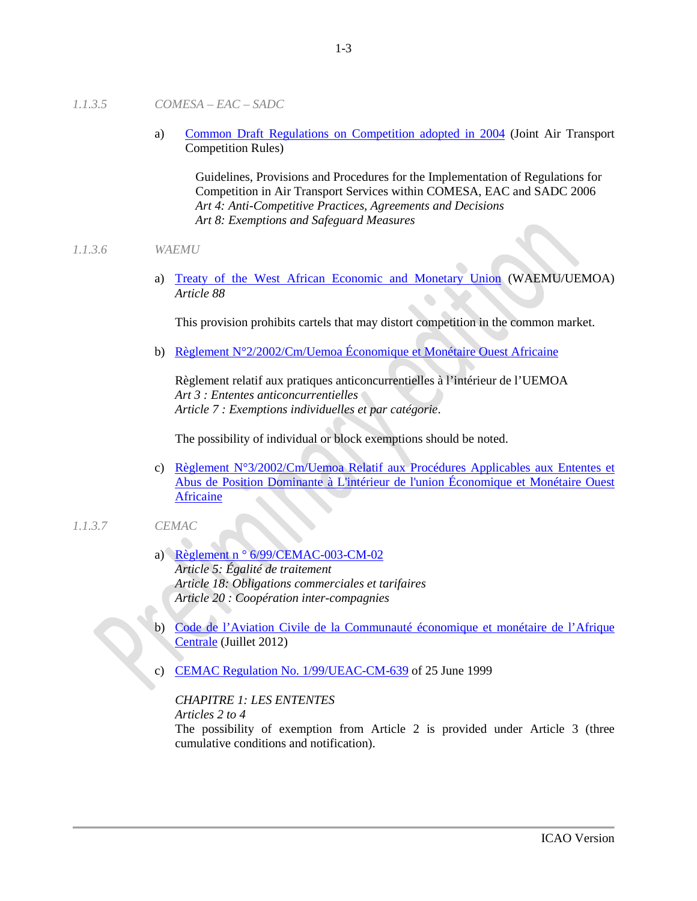- *1.1.3.5 COMESA – EAC – SADC*
	- a) [Common Draft Regulations on Competition adopted in 2004](http://www.icao.int/sustainability/Documents/Compendium_FairCompetition/Africa/COMESA-EAC-SADC_COMPETITION-REGULATIONS-PAPER.pdf) (Joint Air Transport Competition Rules)

Guidelines, Provisions and Procedures for the Implementation of Regulations for Competition in Air Transport Services within COMESA, EAC and SADC 2006 *Art 4: Anti-Competitive Practices, Agreements and Decisions Art 8: Exemptions and Safeguard Measures*

#### *1.1.3.6 WAEMU*

a) Treaty of the West African Economic and Monetary Union (WAEMU/UEMOA) *Article 88*

This provision prohibits cartels that may distort competition in the common market.

b) [Règlement N°2/2002/Cm/Uemoa Économique et Monétaire Ouest Africaine](http://www.icao.int/sustainability/Documents/Compendium_FairCompetition/Africa/UEMOA_Pratiques-commerciales-anticoncurrentielles.pdf)

Règlement relatif aux pratiques anticoncurrentielles à l'intérieur de l'UEMOA *Art 3 : Ententes anticoncurrentielles Article 7 : Exemptions individuelles et par catégorie*.

The possibility of individual or block exemptions should be noted.

c) [Règlement N°3/2002/Cm/Uemoa Relatif aux Procédures Applicables aux Ententes et](http://www.uemoa.int/Pages/Actes/NewPages/reglement_3_2002_CM_UEMOA.aspx)  [Abus de Position Dominante à L'intérieur de l'union Économique et Monétaire Ouest](http://www.uemoa.int/Pages/Actes/NewPages/reglement_3_2002_CM_UEMOA.aspx) [Africaine](http://www.uemoa.int/Pages/Actes/NewPages/reglement_3_2002_CM_UEMOA.aspx)

## *1.1.3.7 CEMAC*

- a) [Règlement n ° 6/99/CEMAC-003-CM-02](http://www.izf.net/fr/pages/r-glement-n-699cemac-003-cm-02) *Article 5: Égalité de traitement Article 18: Obligations commerciales et tarifaires Article 20 : Coopération inter-compagnies*
- b) [Code de l'Aviation Civile de la Communauté économique et monétaire de l'Afrique](http://www.icao.int/sustainability/Documents/Compendium_FairCompetition/Africa/Code-aviation-civile_CEMAC2012.pdf)  [Centrale](http://www.icao.int/sustainability/Documents/Compendium_FairCompetition/Africa/Code-aviation-civile_CEMAC2012.pdf) (Juillet 2012)
- c) CEMAC [Regulation No. 1/99/UEAC-CM-639](http://www.icao.int/sustainability/Documents/Compendium_FairCompetition/Africa/CEMAC_Pratiques-com_anticoncurentielles.pdf) of 25 June 1999

## *CHAPITRE 1: LES ENTENTES*

## *Articles 2 to 4*

The possibility of exemption from Article 2 is provided under Article 3 (three cumulative conditions and notification).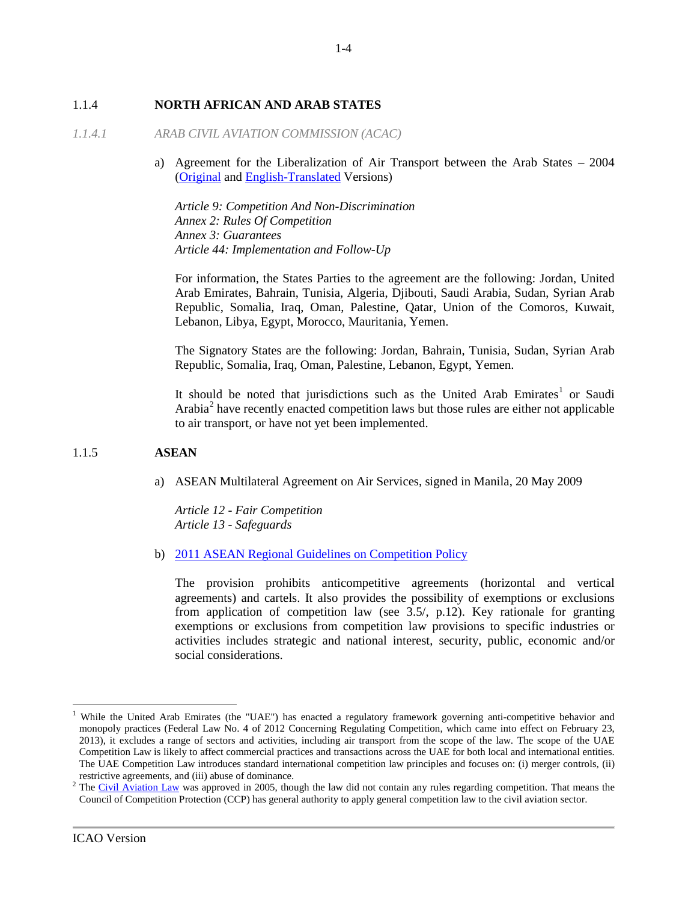#### 1.1.4 **NORTH AFRICAN AND ARAB STATES**

- *1.1.4.1 ARAB CIVIL AVIATION COMMISSION (ACAC)*
	- a) Agreement for the Liberalization of Air Transport between the Arab States 2004 [\(Original](http://www.icao.int/sustainability/Documents/Compendium_FairCompetition/Africa/ArabLiberalisation_OpenSkiesAgreement_ar.pdf) and [English-Translated](http://www.icao.int/sustainability/Documents/Compendium_FairCompetition/Africa/ArabMultilateralAgreement_en.pdf) Versions)

*Article 9: Competition And Non-Discrimination Annex 2: Rules Of Competition Annex 3: Guarantees Article 44: Implementation and Follow-Up*

For information, the States Parties to the agreement are the following: Jordan, United Arab Emirates, Bahrain, Tunisia, Algeria, Djibouti, Saudi Arabia, Sudan, Syrian Arab Republic, Somalia, Iraq, Oman, Palestine, Qatar, Union of the Comoros, Kuwait, Lebanon, Libya, Egypt, Morocco, Mauritania, Yemen.

The Signatory States are the following: Jordan, Bahrain, Tunisia, Sudan, Syrian Arab Republic, Somalia, Iraq, Oman, Palestine, Lebanon, Egypt, Yemen.

It should be noted that jurisdictions such as the United Arab  $Emitates<sup>1</sup>$  $Emitates<sup>1</sup>$  $Emitates<sup>1</sup>$  or Saudi Arabia<sup>[2](#page-4-0)</sup> have recently enacted competition laws but those rules are either not applicable to air transport, or have not yet been implemented.

## 1.1.5 **ASEAN**

a) ASEAN Multilateral Agreement on Air Services, signed in Manila, 20 May 2009

*Article 12 - Fair Competition Article 13 - Safeguards*

b) [2011 ASEAN Regional Guidelines on Competition Policy](http://www.icao.int/sustainability/Documents/Compendium_FairCompetition/ASEAN/ASEAN-RegionalGudelinesonCompetitionPolicy.pdf)

The provision prohibits anticompetitive agreements (horizontal and vertical agreements) and cartels. It also provides the possibility of exemptions or exclusions from application of competition law (see 3.5/, p.12). Key rationale for granting exemptions or exclusions from competition law provisions to specific industries or activities includes strategic and national interest, security, public, economic and/or social considerations.

 <sup>1</sup> While the United Arab Emirates (the "UAE") has enacted a regulatory framework governing anti-competitive behavior and monopoly practices (Federal Law No. 4 of 2012 Concerning Regulating Competition, which came into effect on February 23, 2013), it excludes a range of sectors and activities, including air transport from the scope of the law. The scope of the UAE Competition Law is likely to affect commercial practices and transactions across the UAE for both local and international entities. The UAE Competition Law introduces standard international competition law principles and focuses on: (i) merger controls, (ii) restrictive agreements, and (iii) abuse of dominance.

<span id="page-4-0"></span> $2$  The [Civil Aviation Law](http://www.icao.int/sustainability/Documents/Compendium_FairCompetition/Africa/SaudiarabiaCivil_Aviation_Law_English.pdf) was approved in 2005, though the law did not contain any rules regarding competition. That means the Council of Competition Protection (CCP) has general authority to apply general competition law to the civil aviation sector.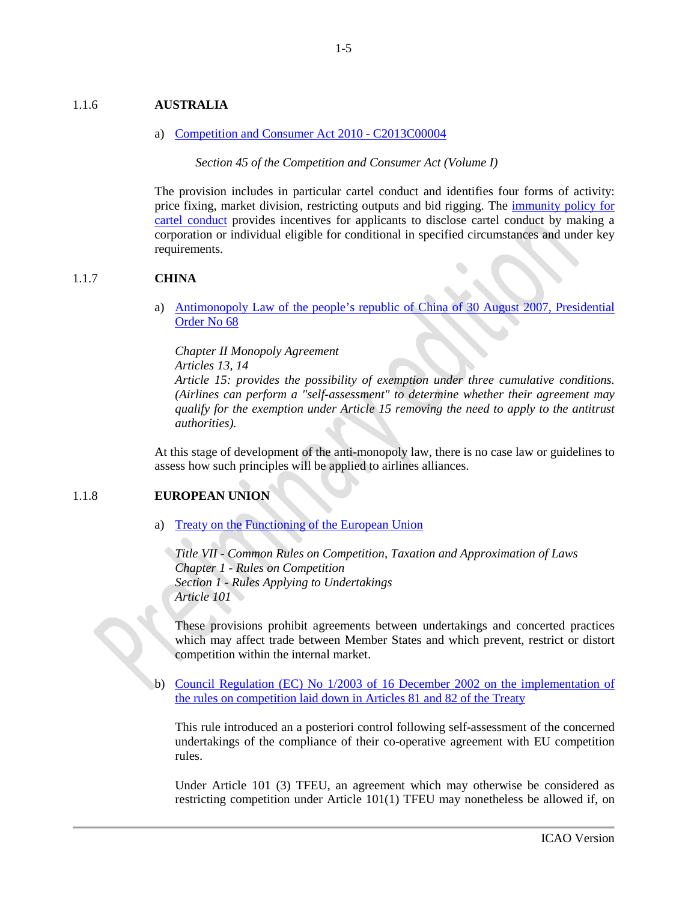#### 1.1.6 **AUSTRALIA**

#### a) [Competition and Consumer Act 2010 -](http://www.comlaw.gov.au/Details/C2013C00004/Html/Volume_1) C2013C00004

*Section 45 of the Competition and Consumer Act (Volume I)*

The provision includes in particular cartel conduct and identifies four forms of activity: price fixing, market division, restricting outputs and bid rigging. The [immunity policy for](https://www.accc.gov.au/system/files/Immunity%20policy%20for%20cartel%20conduct%20and%20interpretation%20guidelines.pdf)  [cartel conduct](https://www.accc.gov.au/system/files/Immunity%20policy%20for%20cartel%20conduct%20and%20interpretation%20guidelines.pdf) provides incentives for applicants to disclose cartel conduct by making a corporation or individual eligible for conditional in specified circumstances and under key requirements.

# 1.1.7 **CHINA**

a) [Antimonopoly Law of the people's republic of China of 30 August 2007, Presidential](http://www.icao.int/sustainability/Documents/Compendium_FairCompetition/China/Anti-monopoly-Law_China.pdf)  [Order No 68](http://www.icao.int/sustainability/Documents/Compendium_FairCompetition/China/Anti-monopoly-Law_China.pdf)

*Chapter II Monopoly Agreement Articles 13, 14 Article 15: provides the possibility of exemption under three cumulative conditions. (Airlines can perform a "self-assessment" to determine whether their agreement may qualify for the exemption under Article 15 removing the need to apply to the antitrust authorities).*

At this stage of development of the anti-monopoly law, there is no case law or guidelines to assess how such principles will be applied to airlines alliances.

## 1.1.8 **EUROPEAN UNION**

a) [Treaty on the Functioning of the European Union](http://www.icao.int/sustainability/Documents/Compendium_FairCompetition/EU/TFEU.pdf)

*Title VII - Common Rules on Competition, Taxation and Approximation of Laws Chapter 1 - Rules on Competition Section 1 - Rules Applying to Undertakings Article 101*

These provisions prohibit agreements between undertakings and concerted practices which may affect trade between Member States and which prevent, restrict or distort competition within the internal market.

b) [Council Regulation \(EC\) No 1/2003 of 16 December 2002 on the implementation of](http://www.icao.int/sustainability/Documents/Compendium_FairCompetition/EU/EC-reg-1-2003.pdf)  [the rules on competition laid down in Articles 81 and 82 of the Treaty](http://www.icao.int/sustainability/Documents/Compendium_FairCompetition/EU/EC-reg-1-2003.pdf)

This rule introduced an a posteriori control following self-assessment of the concerned undertakings of the compliance of their co-operative agreement with EU competition rules.

Under Article 101 (3) TFEU, an agreement which may otherwise be considered as restricting competition under Article 101(1) TFEU may nonetheless be allowed if, on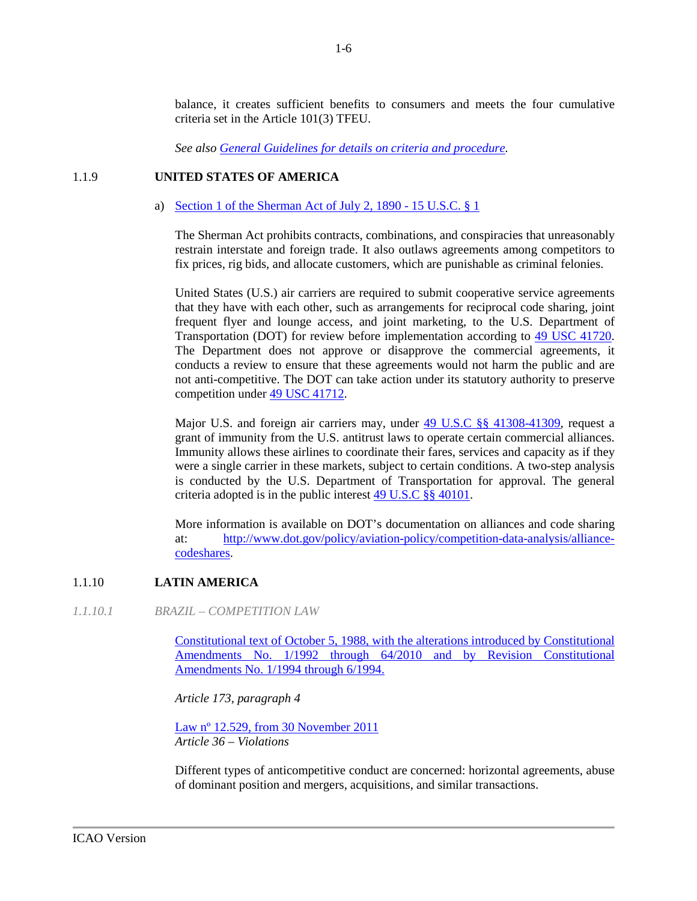balance, it creates sufficient benefits to consumers and meets the four cumulative criteria set in the Article 101(3) TFEU.

*See also [General Guidelines for details on criteria and procedure.](http://eur-lex.europa.eu/LexUriServ/LexUriServ.do?uri=CELEX:52004XC0427(07):EN:NOT)* 

# 1.1.9 **UNITED STATES OF AMERICA**

a) [Section 1 of the Sherman Act of July 2, 1890 -](http://www.icao.int/sustainability/Documents/Compendium_FairCompetition/US/AntitrustDivisionManual-chapter2.pdf) 15 U.S.C. § 1

The Sherman Act prohibits contracts, combinations, and conspiracies that unreasonably restrain interstate and foreign trade. It also outlaws agreements among competitors to fix prices, rig bids, and allocate customers, which are punishable as criminal felonies.

United States (U.S.) air carriers are required to submit cooperative service agreements that they have with each other, such as arrangements for reciprocal code sharing, joint frequent flyer and lounge access, and joint marketing, to the U.S. Department of Transportation (DOT) for review before implementation according to [49 USC 41720.](http://www.icao.int/sustainability/Documents/Compendium_FairCompetition/US/US-Code_41720.pdf)  The Department does not approve or disapprove the commercial agreements, it conducts a review to ensure that these agreements would not harm the public and are not anti-competitive. The DOT can take action under its statutory authority to preserve competition under [49 USC 41712.](http://www.icao.int/sustainability/Documents/Compendium_FairCompetition/US/USCODE-41712.pdf)

Major U.S. and foreign air carriers may, under [49 U.S.C §§ 41308-41309,](http://www.icao.int/sustainability/Documents/Compendium_FairCompetition/US/lii_usc_TI_49_ST_VII_PA_A_30_ii_CH_413_SE_41308.pdf) request a grant of immunity from the U.S. antitrust laws to operate certain commercial alliances. Immunity allows these airlines to coordinate their fares, services and capacity as if they were a single carrier in these markets, subject to certain conditions. A two-step analysis is conducted by the U.S. Department of Transportation for approval. The general criteria adopted is in the public interest [49 U.S.C §§ 40101.](http://www.icao.int/sustainability/Documents/Compendium_FairCompetition/US/USCODE-2011-title49-subtitleVII-partA-subparti-chap401-sec40101.pdf)

More information is available on DOT's documentation on alliances and code sharing at: [http://www.dot.gov/policy/aviation-policy/competition-data-analysis/alliance](http://www.dot.gov/policy/aviation-policy/competition-data-analysis/alliance-codeshares)[codeshares.](http://www.dot.gov/policy/aviation-policy/competition-data-analysis/alliance-codeshares)

# 1.1.10 **LATIN AMERICA**

*1.1.10.1 BRAZIL – COMPETITION LAW*

[Constitutional text of October 5, 1988, with the alterations introduced by Constitutional](http://www.icao.int/sustainability/Documents/Compendium_FairCompetition/LACAC/BRAZIL-CONSTITUTION.pdf)  [Amendments No. 1/1992 through 64/2010 and by Revision Constitutional](http://www.icao.int/sustainability/Documents/Compendium_FairCompetition/LACAC/BRAZIL-CONSTITUTION.pdf)  [Amendments No. 1/1994 through 6/1994.](http://www.icao.int/sustainability/Documents/Compendium_FairCompetition/LACAC/BRAZIL-CONSTITUTION.pdf)

*Article 173, paragraph 4* 

[Law nº 12.529, from 30 November 2011](http://www.icao.int/sustainability/Documents/Compendium_FairCompetition/LACAC/BRAZIL-LAW-12529_en.pdf) *Article 36 – Violations* 

Different types of anticompetitive conduct are concerned: horizontal agreements, abuse of dominant position and mergers, acquisitions, and similar transactions.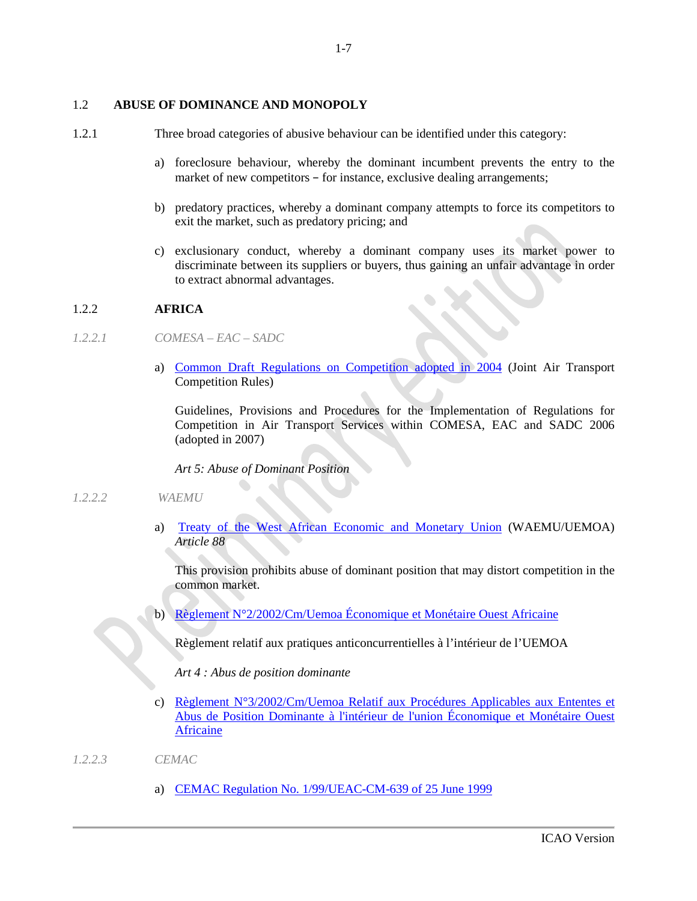#### 1.2 **ABUSE OF DOMINANCE AND MONOPOLY**

- 1.2.1 Three broad categories of abusive behaviour can be identified under this category:
	- a) foreclosure behaviour, whereby the dominant incumbent prevents the entry to the market of new competitors – for instance, exclusive dealing arrangements;
	- b) predatory practices, whereby a dominant company attempts to force its competitors to exit the market, such as predatory pricing; and
	- c) exclusionary conduct, whereby a dominant company uses its market power to discriminate between its suppliers or buyers, thus gaining an unfair advantage in order to extract abnormal advantages.

#### 1.2.2 **AFRICA**

- *1.2.2.1 COMESA – EAC – SADC*
	- a) [Common Draft Regulations on Competition adopted in 2004](http://www.icao.int/sustainability/Documents/Compendium_FairCompetition/Africa/COMESA-EAC-SADC_COMPETITION-REGULATIONS-PAPER.pdf) (Joint Air Transport Competition Rules)

Guidelines, Provisions and Procedures for the Implementation of Regulations for Competition in Air Transport Services within COMESA, EAC and SADC 2006 (adopted in 2007)

*Art 5: Abuse of Dominant Position*

#### *1.2.2.2 WAEMU*

a) [Treaty of the West African Economic and Monetary Union](http://www.icao.int/sustainability/Documents/Compendium_FairCompetition/Africa/TraitReviseUEMOA.pdf) (WAEMU/UEMOA) *Article 88*

This provision prohibits abuse of dominant position that may distort competition in the common market.

b) [Règlement N°2/2002/Cm/Uemoa Économique et Monétaire Ouest Africaine](http://www.icao.int/sustainability/Documents/Compendium_FairCompetition/Africa/UEMOA_Pratiques-commerciales-anticoncurrentielles.pdf)

Règlement relatif aux pratiques anticoncurrentielles à l'intérieur de l'UEMOA

*Art 4 : Abus de position dominante*

- c) [Règlement N°3/2002/Cm/Uemoa Relatif aux Procédures Applicables aux Ententes et](http://www.uemoa.int/Pages/Actes/NewPages/reglement_3_2002_CM_UEMOA.aspx)  [Abus de Position Dominante à l'intérieur de l'union Économique et Monétaire Ouest](http://www.uemoa.int/Pages/Actes/NewPages/reglement_3_2002_CM_UEMOA.aspx)  [Africaine](http://www.uemoa.int/Pages/Actes/NewPages/reglement_3_2002_CM_UEMOA.aspx)
- *1.2.2.3 CEMAC* 
	- a) CEMAC [Regulation No. 1/99/UEAC-CM-639 of 25 June 1999](http://www.icao.int/sustainability/Documents/Compendium_FairCompetition/Africa/CEMAC_Pratiques-com_anticoncurentielles.pdf)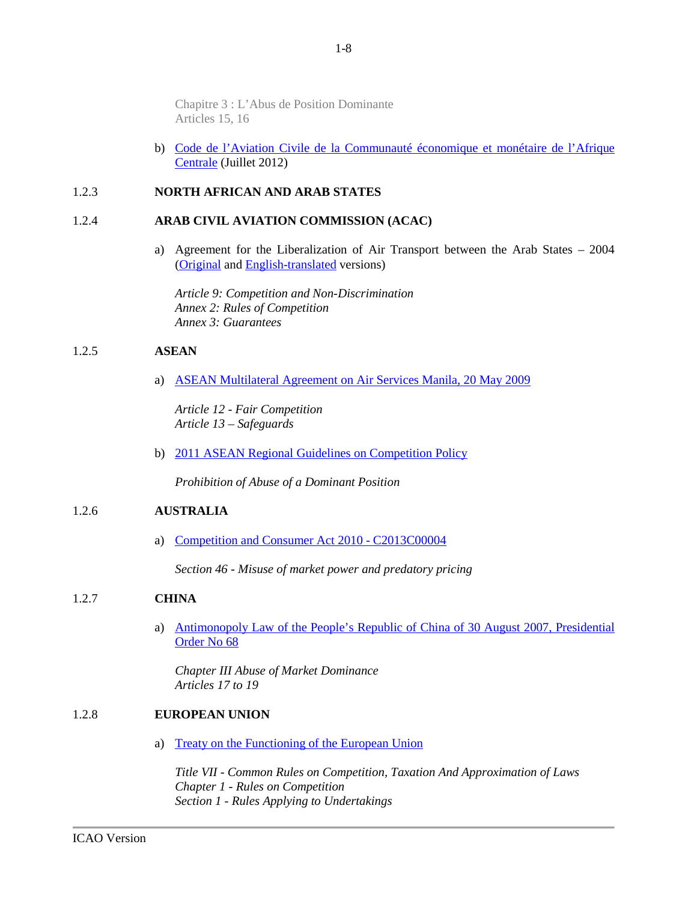Chapitre 3 : L'Abus de Position Dominante Articles 15, 16

b) [Code de l'Aviation Civile de la Communauté économique et monétaire de l'Afrique](http://www.icao.int/sustainability/Documents/Compendium_FairCompetition/Africa/Code-aviation-civile_CEMAC2012.pdf)  [Centrale](http://www.icao.int/sustainability/Documents/Compendium_FairCompetition/Africa/Code-aviation-civile_CEMAC2012.pdf) (Juillet 2012)

#### 1.2.3 **NORTH AFRICAN AND ARAB STATES**

#### 1.2.4 **ARAB CIVIL AVIATION COMMISSION (ACAC)**

a) Agreement for the Liberalization of Air Transport between the Arab States – 2004 [\(Original](http://www.icao.int/sustainability/Documents/Compendium_FairCompetition/Africa/ArabLiberalisation_OpenSkiesAgreement_ar.pdf) and [English-translated](http://www.icao.int/sustainability/Documents/Compendium_FairCompetition/Africa/ArabMultilateralAgreement_en.pdf) versions)

*Article 9: Competition and Non-Discrimination Annex 2: Rules of Competition Annex 3: Guarantees*

#### 1.2.5 **ASEAN**

a) [ASEAN Multilateral Agreement on Air Services Manila, 20 May 2009](http://www.asean.org/communities/asean-economic-community/item/asean-multilateral-agreement-on-air-services-manila-20-may-2009-2)

*Article 12 - Fair Competition Article 13 – Safeguards*

b) [2011 ASEAN Regional Guidelines on Competition Policy](http://www.icao.int/sustainability/Documents/Compendium_FairCompetition/ASEAN/ASEAN-RegionalGudelinesonCompetitionPolicy.pdf)

*Prohibition of Abuse of a Dominant Position* 

#### 1.2.6 **AUSTRALIA**

a) [Competition and Consumer Act 2010 -](http://www.comlaw.gov.au/Details/C2013C00004/Html/Volume_1) C2013C00004

*Section 46 - Misuse of market power and predatory pricing*

#### 1.2.7 **CHINA**

a) [Antimonopoly Law of the People's Republic of China of 30 August 2007, Presidential](http://www.icao.int/sustainability/Documents/Compendium_FairCompetition/China/Anti-monopoly-Law_China.pdf)  [Order No 68](http://www.icao.int/sustainability/Documents/Compendium_FairCompetition/China/Anti-monopoly-Law_China.pdf)

*Chapter III Abuse of Market Dominance Articles 17 to 19* 

#### 1.2.8 **EUROPEAN UNION**

a) [Treaty on the Functioning of the European Union](http://www.icao.int/sustainability/Documents/Compendium_FairCompetition/EU/TFEU.pdf)

*Title VII - Common Rules on Competition, Taxation And Approximation of Laws Chapter 1 - Rules on Competition Section 1 - Rules Applying to Undertakings*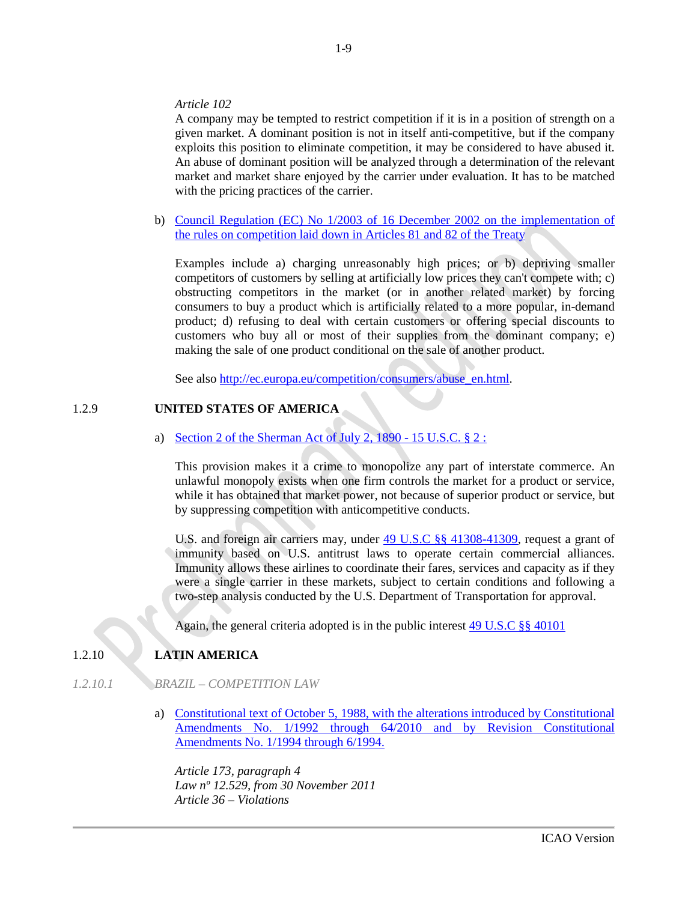#### *Article 102*

A company may be tempted to restrict competition if it is in a position of strength on a given market. A dominant position is not in itself anti-competitive, but if the company exploits this position to eliminate competition, it may be considered to have abused it. An abuse of dominant position will be analyzed through a determination of the relevant market and market share enjoyed by the carrier under evaluation. It has to be matched with the pricing practices of the carrier.

b) [Council Regulation \(EC\) No 1/2003 of 16 December 2002 on the implementation of](http://www.icao.int/sustainability/Documents/Compendium_FairCompetition/EU/EC-reg-1-2003.pdf)  [the rules on competition laid down in Articles 81 and 82 of the Treaty](http://www.icao.int/sustainability/Documents/Compendium_FairCompetition/EU/EC-reg-1-2003.pdf)

Examples include a) charging unreasonably high prices; or b) depriving smaller competitors of customers by selling at artificially low prices they can't compete with; c) obstructing competitors in the market (or in another related market) by forcing consumers to buy a product which is artificially related to a more popular, in-demand product; d) refusing to deal with certain customers or offering special discounts to customers who buy all or most of their supplies from the dominant company; e) making the sale of one product conditional on the sale of another product.

See also [http://ec.europa.eu/competition/consumers/abuse\\_en.html.](http://ec.europa.eu/competition/consumers/abuse_en.html)

#### 1.2.9 **UNITED STATES OF AMERICA**

a) [Section 2 of the Sherman Act of July 2, 1890 -](http://www.icao.int/sustainability/Documents/Compendium_FairCompetition/US/AntitrustDivisionManual-chapter2.pdf) 15 U.S.C. § 2 :

This provision makes it a crime to monopolize any part of interstate commerce. An unlawful monopoly exists when one firm controls the market for a product or service, while it has obtained that market power, not because of superior product or service, but by suppressing competition with anticompetitive conducts.

U.S. and foreign air carriers may, under [49 U.S.C §§ 41308-41309,](http://www.icao.int/sustainability/Documents/Compendium_FairCompetition/US/lii_usc_TI_49_ST_VII_PA_A_30_ii_CH_413_SE_41308.pdf) request a grant of immunity based on U.S. antitrust laws to operate certain commercial alliances. Immunity allows these airlines to coordinate their fares, services and capacity as if they were a single carrier in these markets, subject to certain conditions and following a two-step analysis conducted by the U.S. Department of Transportation for approval.

Again, the general criteria adopted is in the public interest [49 U.S.C §§ 40101](http://www.icao.int/sustainability/Documents/Compendium_FairCompetition/US/USCODE-2011-title49-subtitleVII-partA-subparti-chap401-sec40101.pdf)

#### 1.2.10 **LATIN AMERICA**

- *1.2.10.1 BRAZIL – COMPETITION LAW*
	- a) [Constitutional text of October 5, 1988, with the alterations introduced by Constitutional](http://www.icao.int/sustainability/Documents/Compendium_FairCompetition/LACAC/BRAZIL-CONSTITUTION.pdf)  [Amendments No. 1/1992 through 64/2010 and by Revision Constitutional](http://www.icao.int/sustainability/Documents/Compendium_FairCompetition/LACAC/BRAZIL-CONSTITUTION.pdf)  [Amendments No. 1/1994 through 6/1994.](http://www.icao.int/sustainability/Documents/Compendium_FairCompetition/LACAC/BRAZIL-CONSTITUTION.pdf)

*Article 173, paragraph 4 Law nº 12.529, from 30 November 2011 Article 36 – Violations*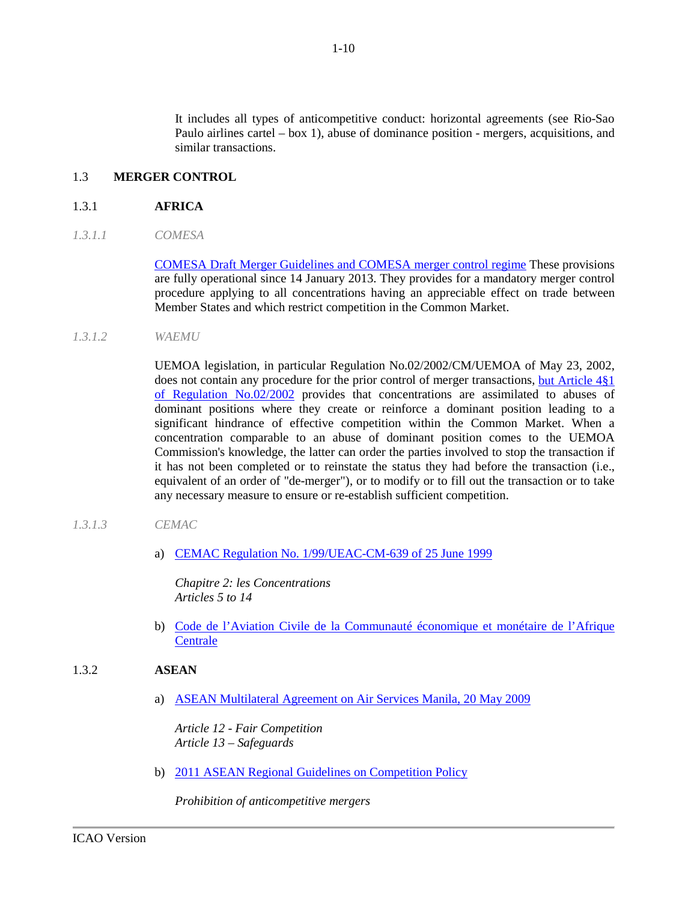It includes all types of anticompetitive conduct: horizontal agreements (see Rio-Sao Paulo airlines cartel – box 1), abuse of dominance position - mergers, acquisitions, and similar transactions.

## 1.3 **MERGER CONTROL**

#### 1.3.1 **AFRICA**

*1.3.1.1 COMESA* 

[COMESA Draft Merger Guidelines and COMESA merger control regime](http://www.comesacompetition.org/latest) These provisions are fully operational since 14 January 2013. They provides for a mandatory merger control procedure applying to all concentrations having an appreciable effect on trade between Member States and which restrict competition in the Common Market.

#### *1.3.1.2 WAEMU*

UEMOA legislation, in particular Regulation No.02/2002/CM/UEMOA of May 23, 2002, does not contain any procedure for the prior control of merger transactions, [but Article 4§1](http://www.icao.int/sustainability/Documents/Compendium_FairCompetition/Africa/UEMOA_Pratiques-commerciales-anticoncurrentielles.pdf)  [of Regulation No.02/2002](http://www.icao.int/sustainability/Documents/Compendium_FairCompetition/Africa/UEMOA_Pratiques-commerciales-anticoncurrentielles.pdf) provides that concentrations are assimilated to abuses of dominant positions where they create or reinforce a dominant position leading to a significant hindrance of effective competition within the Common Market. When a concentration comparable to an abuse of dominant position comes to the UEMOA Commission's knowledge, the latter can order the parties involved to stop the transaction if it has not been completed or to reinstate the status they had before the transaction (i.e., equivalent of an order of "de-merger"), or to modify or to fill out the transaction or to take any necessary measure to ensure or re-establish sufficient competition.

#### *1.3.1.3 CEMAC*

a) CEMAC [Regulation No. 1/99/UEAC-CM-639 of 25 June 1999](http://www.icao.int/sustainability/Documents/Compendium_FairCompetition/Africa/CEMAC_Pratiques-com_anticoncurentielles.pdf)

*Chapitre 2: les Concentrations Articles 5 to 14* 

b) [Code de l'Aviation Civile de la Communauté économique et monétaire de l'Afrique](http://www.icao.int/sustainability/Documents/Compendium_FairCompetition/Africa/Code-aviation-civile_CEMAC2012.pdf)  **[Centrale](http://www.icao.int/sustainability/Documents/Compendium_FairCompetition/Africa/Code-aviation-civile_CEMAC2012.pdf)** 

## 1.3.2 **ASEAN**

a) [ASEAN Multilateral Agreement on Air Services Manila, 20 May 2009](http://www.icao.int/sustainability/Documents/Compendium_FairCompetition/http:/www.asean.org/communities/asean-economic-community/item/asean-multilateral-agreement-on-air-services-manila-20-may-2009-2)

*Article 12 - Fair Competition Article 13 – Safeguards*

b) [2011 ASEAN Regional Guidelines on Competition Policy](http://www.icao.int/sustainability/Documents/Compendium_FairCompetition/ASEAN/ASEANRegionalGudelinesonCompetitionPolicy.pdf)

*Prohibition of anticompetitive mergers*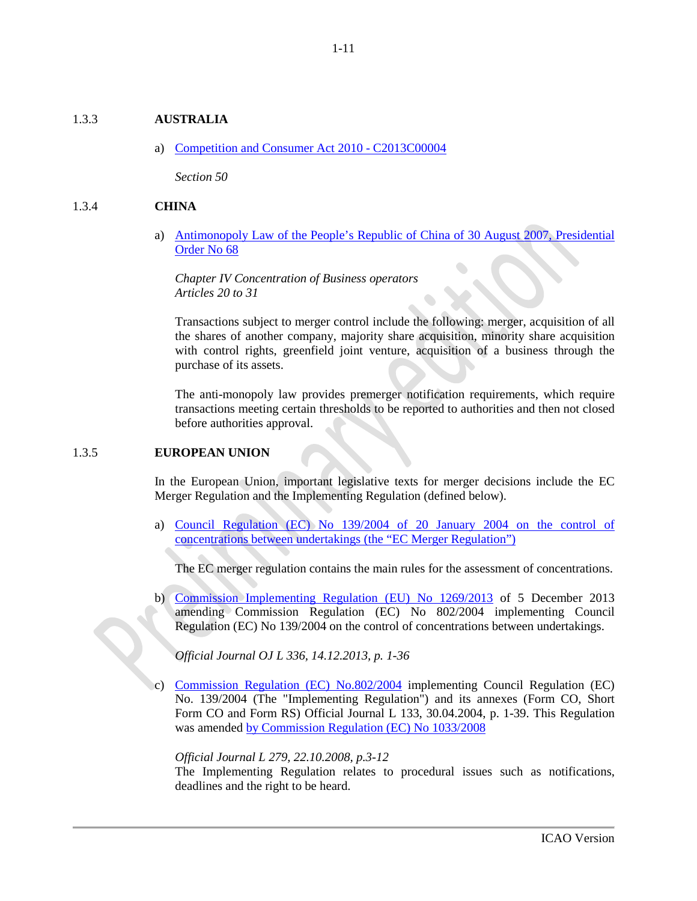## 1.3.3 **AUSTRALIA**

a) [Competition and Consumer Act 2010 -](http://www.comlaw.gov.au/Details/C2013C00004/Html/Volume_1) C2013C00004

*Section 50* 

#### 1.3.4 **CHINA**

a) [Antimonopoly Law of the People's Republic of China of 30 August 2007, Presidential](http://www.icao.int/sustainability/Documents/Compendium_FairCompetition/China/Anti-monopoly-Law_China.pdf)  [Order No 68](http://www.icao.int/sustainability/Documents/Compendium_FairCompetition/China/Anti-monopoly-Law_China.pdf)

*Chapter IV Concentration of Business operators Articles 20 to 31*

Transactions subject to merger control include the following: merger, acquisition of all the shares of another company, majority share acquisition, minority share acquisition with control rights, greenfield joint venture, acquisition of a business through the purchase of its assets.

The anti-monopoly law provides premerger notification requirements, which require transactions meeting certain thresholds to be reported to authorities and then not closed before authorities approval.

## 1.3.5 **EUROPEAN UNION**

In the European Union, important legislative texts for merger decisions include the EC Merger Regulation and the Implementing Regulation (defined below).

a) [Council Regulation \(EC\) No 139/2004 of 20 January 2004 on the control of](http://www.icao.int/sustainability/Documents/Compendium_FairCompetition/EU/CouncilRegulation-EC_No139-2004.pdf)  [concentrations between undertakings \(the "EC Merger Regulation"\)](http://www.icao.int/sustainability/Documents/Compendium_FairCompetition/EU/CouncilRegulation-EC_No139-2004.pdf)

The EC merger regulation contains the main rules for the assessment of concentrations.

b) [Commission Implementing Regulation \(EU\) No 1269/2013](http://eur-lex.europa.eu/LexUriServ/LexUriServ.do?uri=CELEX:32013R1269:EN:NOT) of 5 December 2013 amending Commission Regulation (EC) No 802/2004 implementing Council Regulation (EC) No 139/2004 on the control of concentrations between undertakings.

*Official Journal OJ L 336, 14.12.2013, p. 1-36*

c) [Commission Regulation \(EC\) No.802/2004](http://eur-lex.europa.eu/LexUriServ/LexUriServ.do?uri=CELEX:32004R0802:EN:NOT) implementing Council Regulation (EC) No. 139/2004 (The "Implementing Regulation") and its annexes (Form CO, Short Form CO and Form RS) Official Journal L 133, 30.04.2004, p. 1-39. This Regulation was amended [by Commission Regulation \(EC\) No 1033/2008](http://eur-lex.europa.eu/LexUriServ/LexUriServ.do?uri=CELEX:32008R1033:EN:NOT)

#### *Official Journal L 279, 22.10.2008, p.3-12*

The Implementing Regulation relates to procedural issues such as notifications, deadlines and the right to be heard.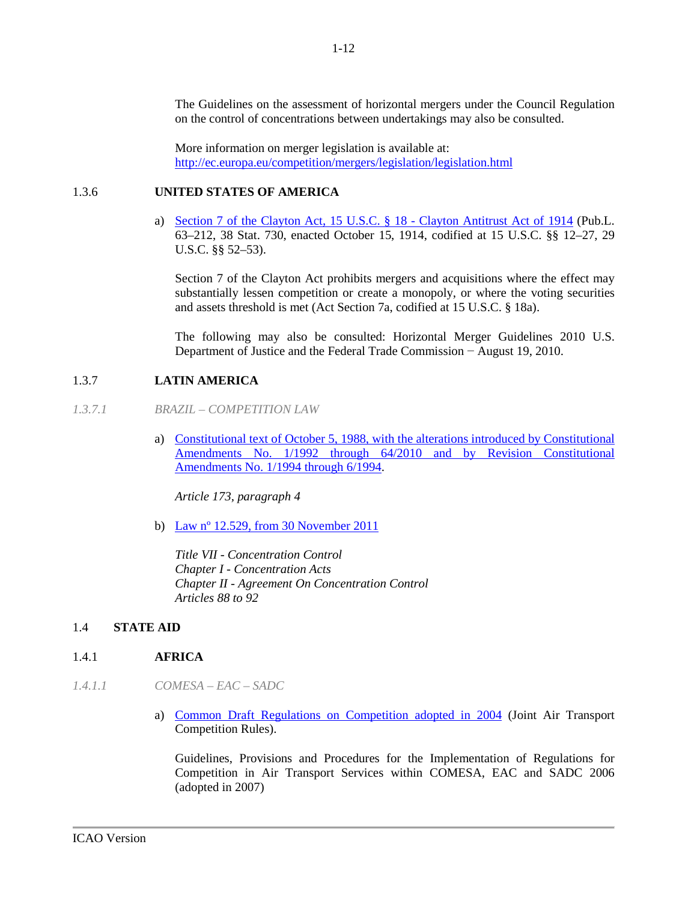The Guidelines on the assessment of horizontal mergers under the Council Regulation on the control of concentrations between undertakings may also be consulted.

More information on merger legislation is available at: <http://ec.europa.eu/competition/mergers/legislation/legislation.html>

#### 1.3.6 **UNITED STATES OF AMERICA**

a) [Section 7 of the Clayton Act, 15 U.S.C. § 18 -](http://www.icao.int/sustainability/Documents/Compendium_FairCompetition/US/AntitrustDivisionManual-chapter2.pdf) Clayton Antitrust Act of 1914 (Pub.L. 63–212, 38 Stat. 730, enacted October 15, 1914, codified at 15 U.S.C. §§ 12–27, 29 U.S.C. §§ 52–53).

Section 7 of the Clayton Act prohibits mergers and acquisitions where the effect may substantially lessen competition or create a monopoly, or where the voting securities and assets threshold is met (Act Section 7a, codified at 15 U.S.C. § 18a).

The following may also be consulted: Horizontal Merger Guidelines 2010 U.S. Department of Justice and the Federal Trade Commission − August 19, 2010.

## 1.3.7 **LATIN AMERICA**

- *1.3.7.1 BRAZIL – COMPETITION LAW*
	- a) [Constitutional text of October 5, 1988, with the alterations introduced by Constitutional](http://www.icao.int/sustainability/Documents/Compendium_FairCompetition/LACAC/BRAZIL-CONSTITUTION.pdf)  [Amendments No. 1/1992 through 64/2010 and by Revision Constitutional](http://www.icao.int/sustainability/Documents/Compendium_FairCompetition/LACAC/BRAZIL-CONSTITUTION.pdf)  [Amendments No. 1/1994 through 6/1994.](http://www.icao.int/sustainability/Documents/Compendium_FairCompetition/LACAC/BRAZIL-CONSTITUTION.pdf)

*Article 173, paragraph 4* 

b) [Law nº 12.529, from 30 November 2011](http://www.icao.int/sustainability/Documents/Compendium_FairCompetition/LACAC/LAW_12529-2011_en.pdf)

*Title VII - Concentration Control Chapter I - Concentration Acts Chapter II - Agreement On Concentration Control Articles 88 to 92*

## 1.4 **STATE AID**

## 1.4.1 **AFRICA**

- *1.4.1.1 COMESA – EAC – SADC*
	- a) [Common Draft Regulations on Competition adopted in 2004](http://www.icao.int/sustainability/Documents/Compendium_FairCompetition/Africa/COMESA-EAC-SADC_COMPETITION-REGULATIONS-PAPER.pdf) (Joint Air Transport Competition Rules).

Guidelines, Provisions and Procedures for the Implementation of Regulations for Competition in Air Transport Services within COMESA, EAC and SADC 2006 (adopted in 2007)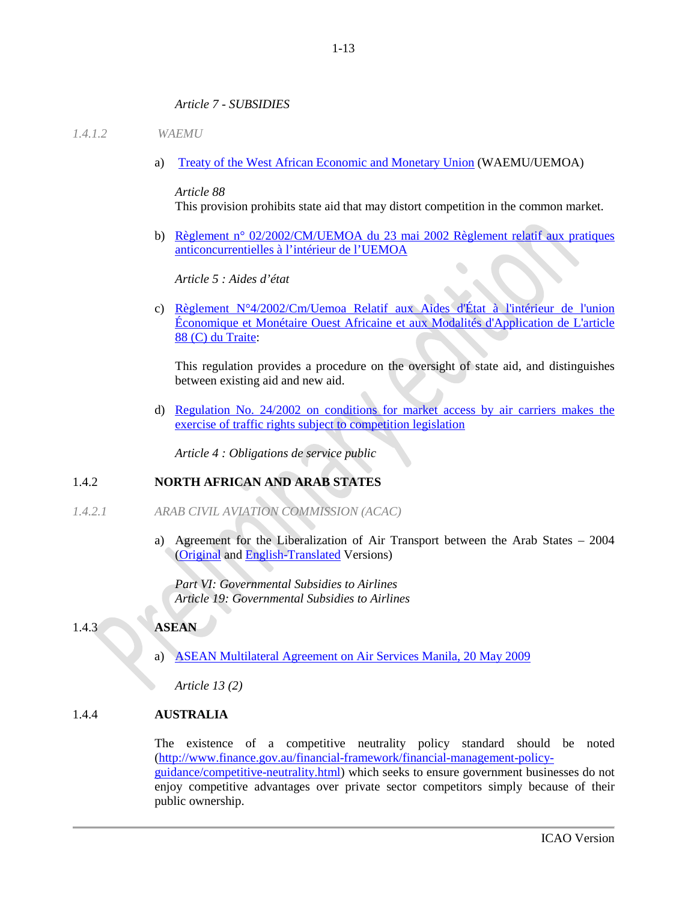## *Article 7 - SUBSIDIES*

## *1.4.1.2 WAEMU*

a) [Treaty of the West African Economic and Monetary Union](http://www.icao.int/sustainability/Documents/Compendium_FairCompetition/Africa/TraitReviseUEMOA.pdf) (WAEMU/UEMOA)

*Article 88* 

This provision prohibits state aid that may distort competition in the common market.

b) [Règlement n° 02/2002/CM/UEMOA du 23 mai 2002 Règlement relatif aux pratiques](http://www.icao.int/sustainability/Documents/Compendium_FairCompetition/Africa/UEMOA_Pratiques-commerciales-anticoncurrentielles.pdf)  [anticoncurrentielles à l'intérieur de l'UEMOA](http://www.icao.int/sustainability/Documents/Compendium_FairCompetition/Africa/UEMOA_Pratiques-commerciales-anticoncurrentielles.pdf)

*Article 5 : Aides d'état*

c) [Règlement N°4/2002/Cm/Uemoa Relatif aux Aides d'État à](http://www.uemoa.int/Pages/Actes/NewPages/reglement_4_2002_CM_UEMOA.aspx) l'intérieur de l'union [Économique et Monétaire Ouest Africaine et aux Modalités d'Application de L'article](http://www.uemoa.int/Pages/Actes/NewPages/reglement_4_2002_CM_UEMOA.aspx)  [88 \(C\) du Traite:](http://www.uemoa.int/Pages/Actes/NewPages/reglement_4_2002_CM_UEMOA.aspx)

This regulation provides a procedure on the oversight of state aid, and distinguishes between existing aid and new aid.

d) [Regulation No. 24/2002 on conditions for market access by air carriers makes the](http://www.uemoa.int/Pages/Actes/NewPages/reglement_24_2002_CM_UEMOA.aspx)  [exercise of traffic rights subject to competition legislation](http://www.uemoa.int/Pages/Actes/NewPages/reglement_24_2002_CM_UEMOA.aspx)

*Article 4 : Obligations de service public*

# 1.4.2 **NORTH AFRICAN AND ARAB STATES**

- *1.4.2.1 ARAB CIVIL AVIATION COMMISSION (ACAC)*
	- a) Agreement for the Liberalization of Air Transport between the Arab States 2004 [\(Original](http://www.icao.int/sustainability/Documents/Compendium_FairCompetition/Africa/ArabLiberalisation_OpenSkiesAgreement_ar.pdf) and [English-Translated](http://www.icao.int/sustainability/Documents/Compendium_FairCompetition/Africa/ArabMultilateralAgreement_en.pdf) Versions)

*Part VI: Governmental Subsidies to Airlines Article 19: Governmental Subsidies to Airlines*

# 1.4.3 **ASEAN**

a) [ASEAN Multilateral Agreement on Air Services Manila, 20 May 2009](http://www.asean.org/communities/asean-economic-community/item/asean-multilateral-agreement-on-air-services-manila-20-may-2009-2)

*Article 13 (2)* 

# 1.4.4 **AUSTRALIA**

The existence of a competitive neutrality policy standard should be noted [\(http://www.finance.gov.au/financial-framework/financial-management-policy](http://www.finance.gov.au/financial-framework/financial-management-policy-guidance/competitive-neutrality.html)[guidance/competitive-neutrality.html\)](http://www.finance.gov.au/financial-framework/financial-management-policy-guidance/competitive-neutrality.html) which seeks to ensure government businesses do not enjoy competitive advantages over private sector competitors simply because of their public ownership.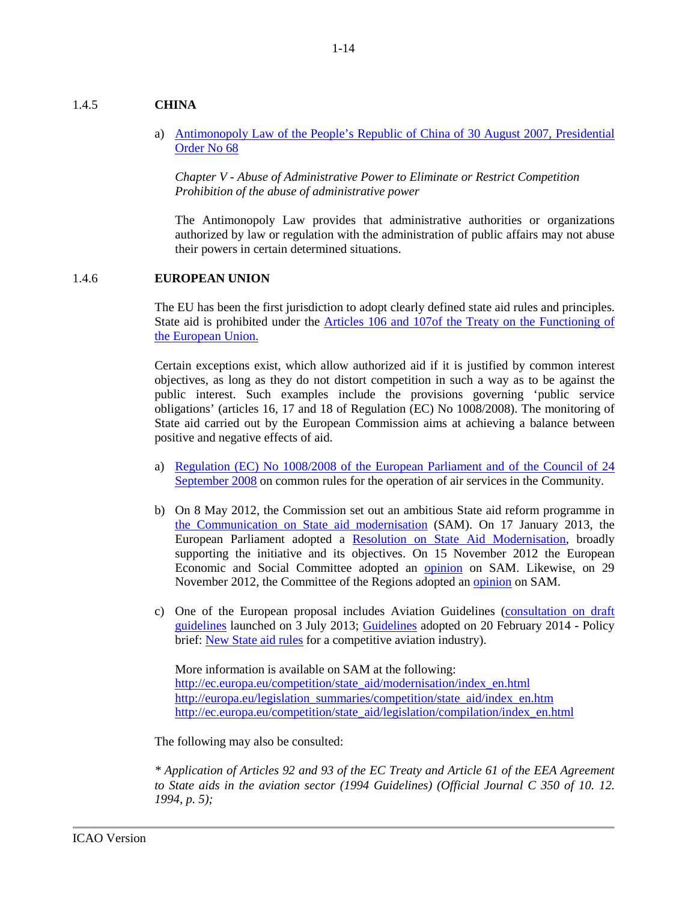#### 1.4.5 **CHINA**

a) [Antimonopoly Law of the People's Republic of China of 30 August 2007, Presidential](http://www.icao.int/sustainability/Documents/Compendium_FairCompetition/China/Anti-monopoly-Law_China.pdf)  [Order No 68](http://www.icao.int/sustainability/Documents/Compendium_FairCompetition/China/Anti-monopoly-Law_China.pdf)

*Chapter V - Abuse of Administrative Power to Eliminate or Restrict Competition Prohibition of the abuse of administrative power*

The Antimonopoly Law provides that administrative authorities or organizations authorized by law or regulation with the administration of public affairs may not abuse their powers in certain determined situations.

## 1.4.6 **EUROPEAN UNION**

The EU has been the first jurisdiction to adopt clearly defined state aid rules and principles. State aid is prohibited under the [Articles 106 and 107of the Treaty on the Functioning of](http://www.icao.int/sustainability/Documents/Compendium_FairCompetition/EU/TFEU.pdf)  [the European Union.](http://www.icao.int/sustainability/Documents/Compendium_FairCompetition/EU/TFEU.pdf)

Certain exceptions exist, which allow authorized aid if it is justified by common interest objectives, as long as they do not distort competition in such a way as to be against the public interest. Such examples include the provisions governing 'public service obligations' (articles 16, 17 and 18 of Regulation (EC) No 1008/2008). The monitoring of State aid carried out by the European Commission aims at achieving a balance between positive and negative effects of aid.

- a) [Regulation \(EC\) No 1008/2008 of the European Parliament and of the Council of 24](http://www.icao.int/sustainability/Documents/Compendium_FairCompetition/EU/CouncilRegulation-EC_No1008.pdf)  [September 2008](http://www.icao.int/sustainability/Documents/Compendium_FairCompetition/EU/CouncilRegulation-EC_No1008.pdf) on common rules for the operation of air services in the Community.
- b) On 8 May 2012, the Commission set out an ambitious State aid reform programme in [the Communication on State aid modernisation](http://eur-lex.europa.eu/LexUriServ/LexUriServ.do?uri=CELEX:52012DC0209:EN:NOT) (SAM). On 17 January 2013, the European Parliament adopted a [Resolution on State Aid Modernisation,](http://www.europarl.europa.eu/sides/getDoc.do?pubRef=-//EP//TEXT+TA+P7-TA-2013-0026+0+DOC+XML+V0//EN) broadly supporting the initiative and its objectives. On 15 November 2012 the European Economic and Social Committee adopted an [opinion](http://www.eesc.europa.eu/?i=portal.en.int-opinions.23584) on SAM. Likewise, on 29 November 2012, the Committee of the Regions adopted an [opinion](http://eur-lex.europa.eu/LexUriServ/LexUriServ.do?uri=OJ:C:2013:017:0025:0029:EN:PDF) on SAM.
- c) One of the European proposal includes Aviation Guidelines [\(consultation on draft](http://ec.europa.eu/competition/consultations/2013_aviation_guidelines/index_en.html)  [guidelines](http://ec.europa.eu/competition/consultations/2013_aviation_guidelines/index_en.html) launched on 3 July 2013; [Guidelines](http://ec.europa.eu/competition/state_aid/modernisation/aviation_guidelines_en.pdf) adopted on 20 February 2014 - Policy brief: [New State aid rules](http://ec.europa.eu/competition/publications/cpb/2014/002_en.pdf) for a competitive aviation industry).

More information is available on SAM at the following: [http://ec.europa.eu/competition/state\\_aid/modernisation/index\\_en.html](http://ec.europa.eu/competition/state_aid/modernisation/index_en.html) [http://europa.eu/legislation\\_summaries/competition/state\\_aid/index\\_en.htm](http://europa.eu/legislation_summaries/competition/state_aid/index_en.htm) [http://ec.europa.eu/competition/state\\_aid/legislation/compilation/index\\_en.html](http://ec.europa.eu/competition/state_aid/legislation/compilation/index_en.html)

The following may also be consulted:

*\* Application of Articles 92 and 93 of the EC Treaty and Article 61 of the EEA Agreement to State aids in the aviation sector (1994 Guidelines) (Official Journal C 350 of 10. 12. 1994, p. 5);*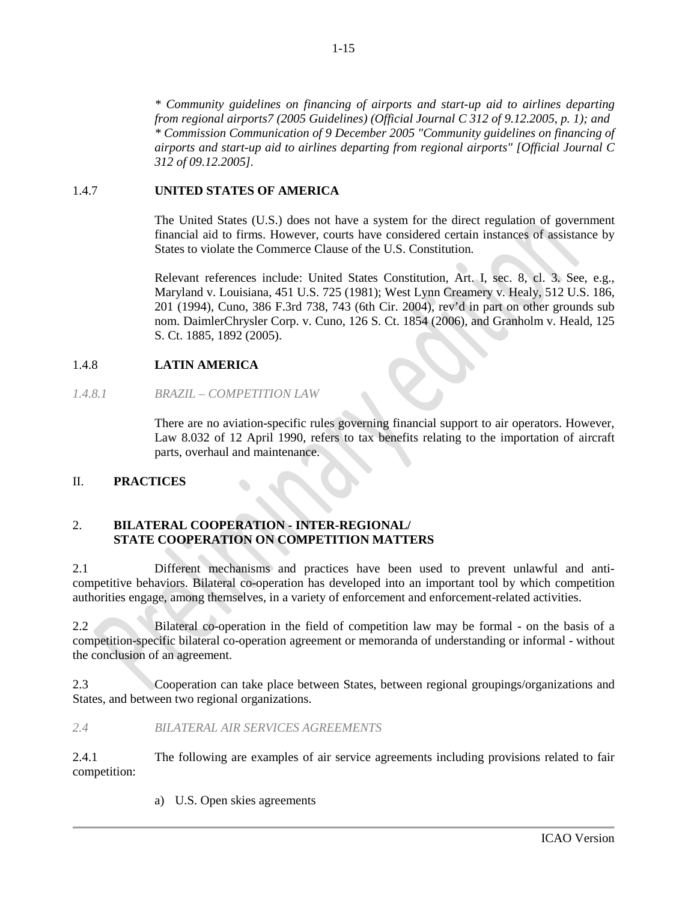*\* Community guidelines on financing of airports and start-up aid to airlines departing from regional airports7 (2005 Guidelines) (Official Journal C 312 of 9.12.2005, p. 1); and \* Commission Communication of 9 December 2005 "Community guidelines on financing of airports and start-up aid to airlines departing from regional airports" [Official Journal C 312 of 09.12.2005].*

# 1.4.7 **UNITED STATES OF AMERICA**

The United States (U.S.) does not have a system for the direct regulation of government financial aid to firms. However, courts have considered certain instances of assistance by States to violate the Commerce Clause of the U.S. Constitution.

Relevant references include: United States Constitution, Art. I, sec. 8, cl. 3. See, e.g., Maryland v. Louisiana, 451 U.S. 725 (1981); West Lynn Creamery v. Healy, 512 U.S. 186, 201 (1994), Cuno, 386 F.3rd 738, 743 (6th Cir. 2004), rev'd in part on other grounds sub nom. DaimlerChrysler Corp. v. Cuno, 126 S. Ct. 1854 (2006), and Granholm v. Heald, 125 S. Ct. 1885, 1892 (2005).

## 1.4.8 **LATIN AMERICA**

## *1.4.8.1 BRAZIL – COMPETITION LAW*

There are no aviation-specific rules governing financial support to air operators. However, Law 8.032 of 12 April 1990, refers to tax benefits relating to the importation of aircraft parts, overhaul and maintenance.

# II. **PRACTICES**

## 2. **BILATERAL COOPERATION - INTER-REGIONAL/ STATE COOPERATION ON COMPETITION MATTERS**

2.1 Different mechanisms and practices have been used to prevent unlawful and anticompetitive behaviors. Bilateral co-operation has developed into an important tool by which competition authorities engage, among themselves, in a variety of enforcement and enforcement-related activities.

2.2 Bilateral co-operation in the field of competition law may be formal - on the basis of a competition-specific bilateral co-operation agreement or memoranda of understanding or informal - without the conclusion of an agreement.

2.3 Cooperation can take place between States, between regional groupings/organizations and States, and between two regional organizations.

## *2.4 BILATERAL AIR SERVICES AGREEMENTS*

2.4.1 The following are examples of air service agreements including provisions related to fair competition:

a) U.S. Open skies agreements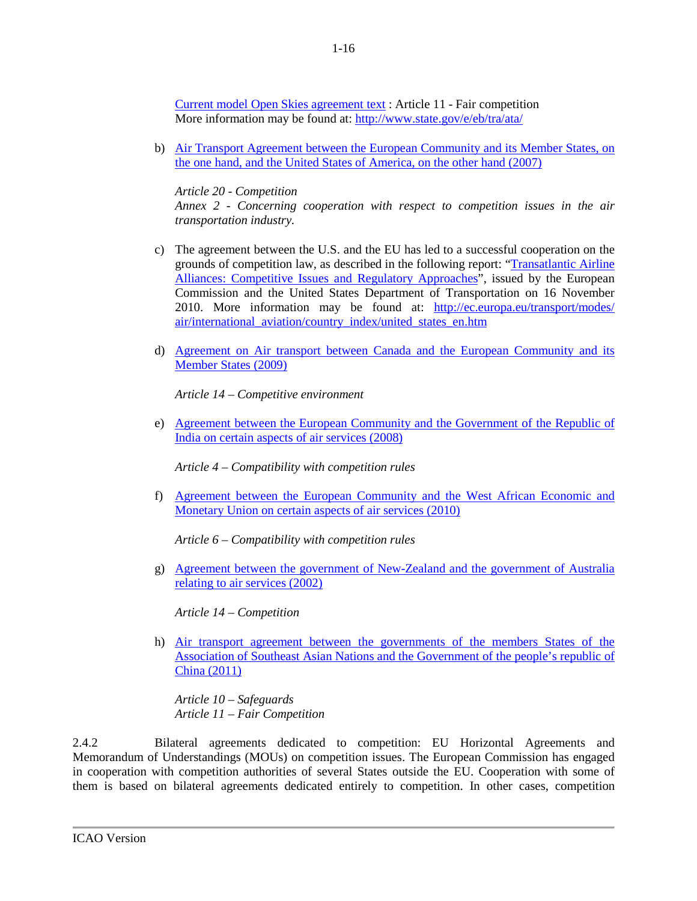[Current model Open Skies agreement text](http://www.icao.int/sustainability/Documents/Compendium_FairCompetition/Practices/CurrentModel-OSA-text_US.pdf) : Article 11 - Fair competition More information may be found at:<http://www.state.gov/e/eb/tra/ata/>

b) [Air Transport Agreement between the European Community and its Member States, on](http://www.icao.int/sustainability/Documents/Compendium_FairCompetition/Practices/EU-US_OSA_2007.pdf)  [the one hand, and the United States of America, on the other hand](http://www.icao.int/sustainability/Documents/Compendium_FairCompetition/Practices/EU-US_OSA_2007.pdf) (2007)

*Article 20 - Competition Annex 2 - Concerning cooperation with respect to competition issues in the air transportation industry.*

- c) The agreement between the U.S. and the EU has led to a successful cooperation on the grounds of competition law, as described in the following report: ["Transatlantic Airline](http://www.icao.int/sustainability/Documents/Compendium_FairCompetition/Practices/EC-DOT-2010_JointAllianceReport.pdf)  [Alliances: Competitive Issues and Regulatory Approaches"](http://www.icao.int/sustainability/Documents/Compendium_FairCompetition/Practices/EC-DOT-2010_JointAllianceReport.pdf), issued by the European Commission and the United States Department of Transportation on 16 November 2010. More information may be found at: [http://ec.europa.eu/transport/modes/](http://ec.europa.eu/transport/modes/%20air/international_aviation/country_index/united_states_en.htm)  [air/international\\_aviation/country\\_index/united\\_states\\_en.htm](http://ec.europa.eu/transport/modes/%20air/international_aviation/country_index/united_states_en.htm)
- d) [Agreement on Air transport between Canada and the European Community and its](http://www.icao.int/sustainability/Documents/Compendium_FairCompetition/Practices/EU-canada-OSA_final_text_agreement.pdf)  [Member States \(2009\)](http://www.icao.int/sustainability/Documents/Compendium_FairCompetition/Practices/EU-canada-OSA_final_text_agreement.pdf)

*Article 14 – Competitive environment* 

e) [Agreement between the European Community and the Government of the Republic of](http://www.icao.int/sustainability/Documents/Compendium_FairCompetition/Practices/EU-India-OSA.pdf)  [India on certain aspects of air services \(2008\)](http://www.icao.int/sustainability/Documents/Compendium_FairCompetition/Practices/EU-India-OSA.pdf)

*Article 4 – Compatibility with competition rules*

f) [Agreement between the European Community and the West African Economic and](http://www.icao.int/sustainability/Documents/Compendium_FairCompetition/Practices/EU-UEMOA-OSA.pdf)  [Monetary Union on certain aspects of air services \(2010\)](http://www.icao.int/sustainability/Documents/Compendium_FairCompetition/Practices/EU-UEMOA-OSA.pdf)

*Article 6 – Compatibility with competition rules* 

g) Agreement between the government of [New-Zealand and the government of Australia](http://www.icao.int/sustainability/Documents/Compendium_FairCompetition/AUSTRALIA-NZ/AirServiceAgreement_NZ-AUS.pdf)  [relating to air services \(2002\)](http://www.icao.int/sustainability/Documents/Compendium_FairCompetition/AUSTRALIA-NZ/AirServiceAgreement_NZ-AUS.pdf)

*Article 14 – Competition* 

h) [Air transport agreement between the governments of the members States of the](http://www.icao.int/sustainability/Documents/Compendium_FairCompetition/ASEAN/AirTransportAgreement_ASEAN-China.pdf)  [Association of Southeast Asian Nations and the Government of the people's republic of](http://www.icao.int/sustainability/Documents/Compendium_FairCompetition/ASEAN/AirTransportAgreement_ASEAN-China.pdf)  [China \(2011\)](http://www.icao.int/sustainability/Documents/Compendium_FairCompetition/ASEAN/AirTransportAgreement_ASEAN-China.pdf)

*Article 10 – Safeguards Article 11 – Fair Competition* 

2.4.2 Bilateral agreements dedicated to competition: EU Horizontal Agreements and Memorandum of Understandings (MOUs) on competition issues. The European Commission has engaged in cooperation with competition authorities of several States outside the EU. Cooperation with some of them is based on bilateral agreements dedicated entirely to competition. In other cases, competition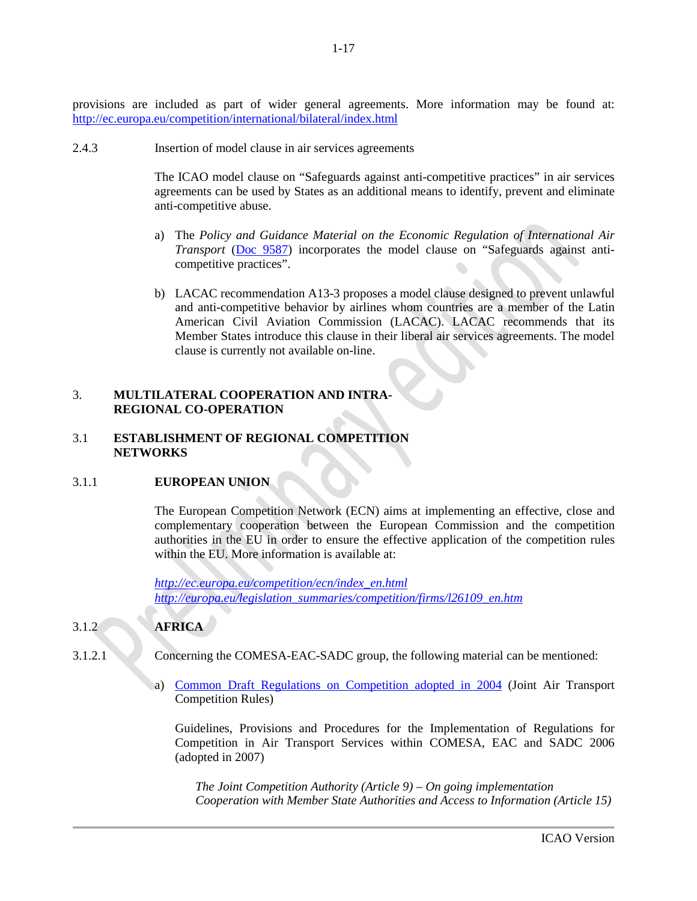provisions are included as part of wider general agreements. More information may be found at: <http://ec.europa.eu/competition/international/bilateral/index.html>

2.4.3 Insertion of model clause in air services agreements

The ICAO model clause on "Safeguards against anti-competitive practices" in air services agreements can be used by States as an additional means to identify, prevent and eliminate anti-competitive abuse.

- a) The *Policy and Guidance Material on the Economic Regulation of International Air Transport* [\(Doc 9587\)](http://www.icao.int/sustainability/pages/doc9587.aspx) incorporates the model clause on "Safeguards against anticompetitive practices".
- b) LACAC recommendation A13-3 proposes a model clause designed to prevent unlawful and anti-competitive behavior by airlines whom countries are a member of the Latin American Civil Aviation Commission (LACAC). LACAC recommends that its Member States introduce this clause in their liberal air services agreements. The model clause is currently not available on-line.

## 3. **MULTILATERAL COOPERATION AND INTRA-REGIONAL CO-OPERATION**

## 3.1 **ESTABLISHMENT OF REGIONAL COMPETITION NETWORKS**

## 3.1.1 **EUROPEAN UNION**

The European Competition Network (ECN) aims at implementing an effective, close and complementary cooperation between the European Commission and the competition authorities in the EU in order to ensure the effective application of the competition rules within the EU. More information is available at:

*[http://ec.europa.eu/competition/ecn/index\\_en.html](http://ec.europa.eu/competition/ecn/index_en.html) [http://europa.eu/legislation\\_summaries/competition/firms/l26109\\_en.htm](http://europa.eu/legislation_summaries/competition/firms/l26109_en.htm)*

# 3.1.2 **AFRICA**

- 3.1.2.1 Concerning the COMESA-EAC-SADC group, the following material can be mentioned:
	- a) [Common Draft Regulations on Competition adopted in 2004](http://www.icao.int/sustainability/Documents/Compendium_FairCompetition/Africa/COMESA-EAC-SADC_COMPETITION-REGULATIONS-PAPER.pdf) (Joint Air Transport Competition Rules)

Guidelines, Provisions and Procedures for the Implementation of Regulations for Competition in Air Transport Services within COMESA, EAC and SADC 2006 (adopted in 2007)

*The Joint Competition Authority (Article 9) – On going implementation Cooperation with Member State Authorities and Access to Information (Article 15)*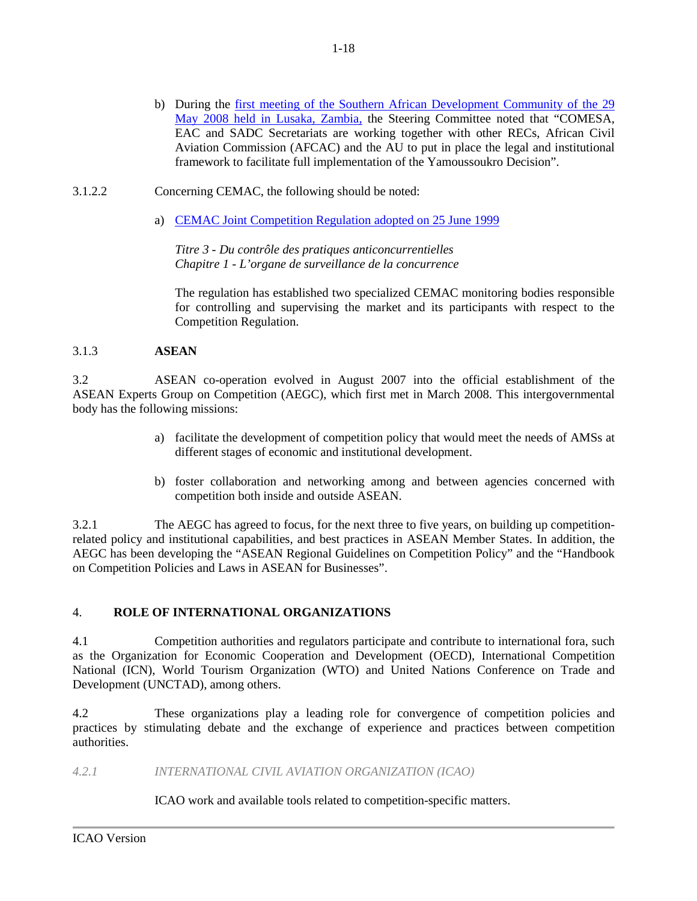- b) During the [first meeting of the Southern African Development Community of the 29](http://www.icao.int/sustainability/Documents/Compendium_FairCompetition/Africa/FirstMeeting_SteeringCommittee_29May2008.pdf)  May 2008 [held in Lusaka, Zambia,](http://www.icao.int/sustainability/Documents/Compendium_FairCompetition/Africa/FirstMeeting_SteeringCommittee_29May2008.pdf) the Steering Committee noted that "COMESA, EAC and SADC Secretariats are working together with other RECs, African Civil Aviation Commission (AFCAC) and the AU to put in place the legal and institutional framework to facilitate full implementation of the Yamoussoukro Decision".
- 3.1.2.2 Concerning CEMAC, the following should be noted:
	- a) [CEMAC Joint Competition Regulation adopted on 25 June 1999](http://www.icao.int/sustainability/Documents/Compendium_FairCompetition/Africa/CEMAC_Pratiques-com_anticoncurentielles.pdf)

*Titre 3 - Du contrôle des pratiques anticoncurrentielles Chapitre 1 - L'organe de surveillance de la concurrence*

The regulation has established two specialized CEMAC monitoring bodies responsible for controlling and supervising the market and its participants with respect to the Competition Regulation.

## 3.1.3 **ASEAN**

3.2 ASEAN co-operation evolved in August 2007 into the official establishment of the ASEAN Experts Group on Competition (AEGC), which first met in March 2008. This intergovernmental body has the following missions:

- a) facilitate the development of competition policy that would meet the needs of AMSs at different stages of economic and institutional development.
- b) foster collaboration and networking among and between agencies concerned with competition both inside and outside ASEAN.

3.2.1 The AEGC has agreed to focus, for the next three to five years, on building up competitionrelated policy and institutional capabilities, and best practices in ASEAN Member States. In addition, the AEGC has been developing the "ASEAN Regional Guidelines on Competition Policy" and the "Handbook on Competition Policies and Laws in ASEAN for Businesses".

## 4. **ROLE OF INTERNATIONAL ORGANIZATIONS**

4.1 Competition authorities and regulators participate and contribute to international fora, such as the Organization for Economic Cooperation and Development (OECD), International Competition National (ICN), World Tourism Organization (WTO) and United Nations Conference on Trade and Development (UNCTAD), among others.

4.2 These organizations play a leading role for convergence of competition policies and practices by stimulating debate and the exchange of experience and practices between competition authorities.

*4.2.1 INTERNATIONAL CIVIL AVIATION ORGANIZATION (ICAO)*

ICAO work and available tools related to competition-specific matters.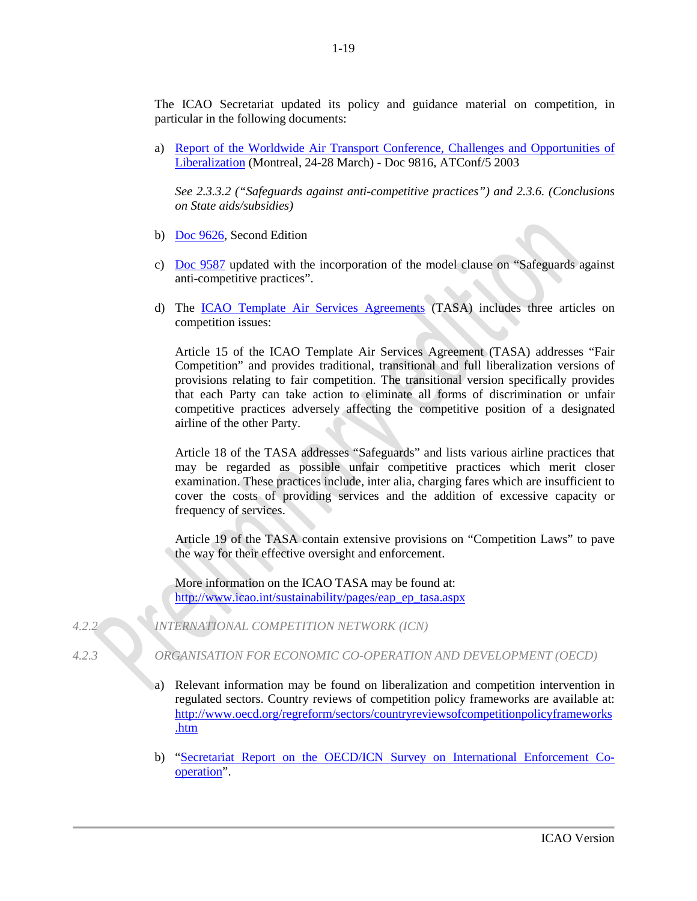The ICAO Secretariat updated its policy and guidance material on competition, in particular in the following documents:

a) [Report of the Worldwide Air Transport Conference, Challenges and Opportunities of](http://www.icao.int/sustainability/Documents/Compendium_FairCompetition/InternationalOrganisations/ICAO-doc/Doc9819_en.pdf)  [Liberalization](http://www.icao.int/sustainability/Documents/Compendium_FairCompetition/InternationalOrganisations/ICAO-doc/Doc9819_en.pdf) (Montreal, 24-28 March) - Doc 9816, ATConf/5 2003

*See 2.3.3.2 ("Safeguards against anti-competitive practices") and 2.3.6. (Conclusions on State aids/subsidies)*

- b) [Doc 9626,](http://www.icao.int/sustainability/Documents/Compendium_FairCompetition/InternationalOrganisations/ICAO-doc/ICAO-Doc9626_en.pdf) Second Edition
- c) [Doc 9587](http://www.icao.int/sustainability/pages/doc9587.aspx) updated with the incorporation of the model clause on "Safeguards against anti-competitive practices".
- d) The [ICAO Template Air Services Agreements](http://www.icao.int/sustainability/Documents/Compendium_FairCompetition/InternationalOrganisations/ICAO-doc/Tasa_EN.pdf) (TASA) includes three articles on competition issues:

Article 15 of the ICAO Template Air Services Agreement (TASA) addresses "Fair Competition" and provides traditional, transitional and full liberalization versions of provisions relating to fair competition. The transitional version specifically provides that each Party can take action to eliminate all forms of discrimination or unfair competitive practices adversely affecting the competitive position of a designated airline of the other Party.

Article 18 of the TASA addresses "Safeguards" and lists various airline practices that may be regarded as possible unfair competitive practices which merit closer examination. These practices include, inter alia, charging fares which are insufficient to cover the costs of providing services and the addition of excessive capacity or frequency of services.

Article 19 of the TASA contain extensive provisions on "Competition Laws" to pave the way for their effective oversight and enforcement.

More information on the ICAO TASA may be found at: [http://www.icao.int/sustainability/pages/eap\\_ep\\_tasa.aspx](http://www.icao.int/sustainability/pages/eap_ep_tasa.aspx)

- *4.2.2 INTERNATIONAL COMPETITION NETWORK (ICN)*
- *4.2.3 ORGANISATION FOR ECONOMIC CO-OPERATION AND DEVELOPMENT (OECD)* 
	- a) Relevant information may be found on liberalization and competition intervention in regulated sectors. Country reviews of competition policy frameworks are available at: [http://www.oecd.org/regreform/sectors/countryreviewsofcompetitionpolicyframeworks](http://www.oecd.org/regreform/sectors/countryreviewsofcompetitionpolicyframeworks.htm) [.htm](http://www.oecd.org/regreform/sectors/countryreviewsofcompetitionpolicyframeworks.htm)
	- b) "Secretariat Report on the OECD/ICN Survey on International Enforcement Cooperation".